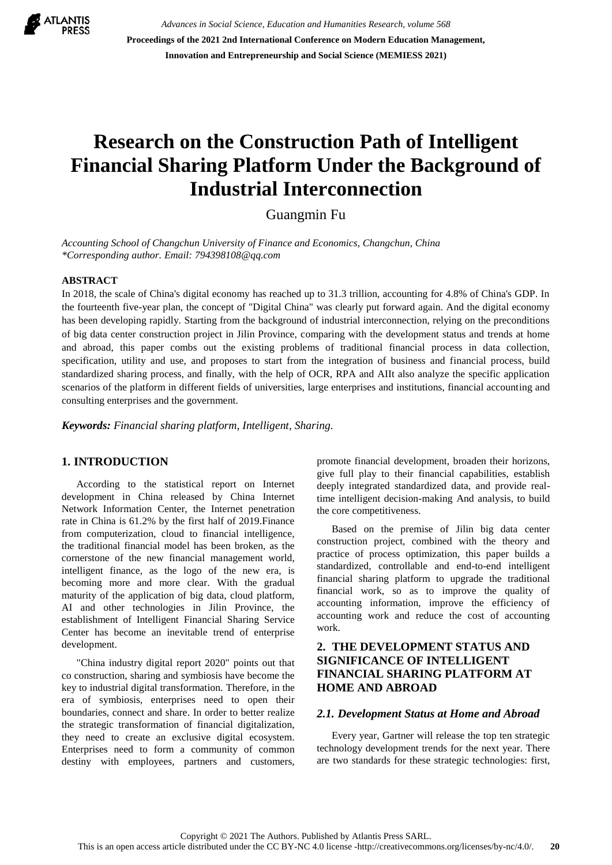

*Advances in Social Science, Education and Humanities Research, volume 568* **Proceedings of the 2021 2nd International Conference on Modern Education Management, Innovation and Entrepreneurship and Social Science (MEMIESS 2021)**

# **Research on the Construction Path of Intelligent Financial Sharing Platform Under the Background of Industrial Interconnection**

Guangmin Fu

*Accounting School of Changchun University of Finance and Economics, Changchun, China \*Corresponding author. Email: 794398108@qq.com*

#### **ABSTRACT**

In 2018, the scale of China's digital economy has reached up to 31.3 trillion, accounting for 4.8% of China's GDP. In the fourteenth five-year plan, the concept of "Digital China" was clearly put forward again. And the digital economy has been developing rapidly. Starting from the background of industrial interconnection, relying on the preconditions of big data center construction project in Jilin Province, comparing with the development status and trends at home and abroad, this paper combs out the existing problems of traditional financial process in data collection, specification, utility and use, and proposes to start from the integration of business and financial process, build standardized sharing process, and finally, with the help of OCR, RPA and AIIt also analyze the specific application scenarios of the platform in different fields of universities, large enterprises and institutions, financial accounting and consulting enterprises and the government.

*Keywords: Financial sharing platform, Intelligent, Sharing.*

## **1. INTRODUCTION**

According to the statistical report on Internet development in China released by China Internet Network Information Center, the Internet penetration rate in China is 61.2% by the first half of 2019.Finance from computerization, cloud to financial intelligence, the traditional financial model has been broken, as the cornerstone of the new financial management world, intelligent finance, as the logo of the new era, is becoming more and more clear. With the gradual maturity of the application of big data, cloud platform, AI and other technologies in Jilin Province, the establishment of Intelligent Financial Sharing Service Center has become an inevitable trend of enterprise development.

"China industry digital report 2020" points out that co construction, sharing and symbiosis have become the key to industrial digital transformation. Therefore, in the era of symbiosis, enterprises need to open their boundaries, connect and share. In order to better realize the strategic transformation of financial digitalization, they need to create an exclusive digital ecosystem. Enterprises need to form a community of common destiny with employees, partners and customers, promote financial development, broaden their horizons, give full play to their financial capabilities, establish deeply integrated standardized data, and provide realtime intelligent decision-making And analysis, to build the core competitiveness.

Based on the premise of Jilin big data center construction project, combined with the theory and practice of process optimization, this paper builds a standardized, controllable and end-to-end intelligent financial sharing platform to upgrade the traditional financial work, so as to improve the quality of accounting information, improve the efficiency of accounting work and reduce the cost of accounting work.

## **2. THE DEVELOPMENT STATUS AND SIGNIFICANCE OF INTELLIGENT FINANCIAL SHARING PLATFORM AT HOME AND ABROAD**

#### *2.1. Development Status at Home and Abroad*

Every year, Gartner will release the top ten strategic technology development trends for the next year. There are two standards for these strategic technologies: first,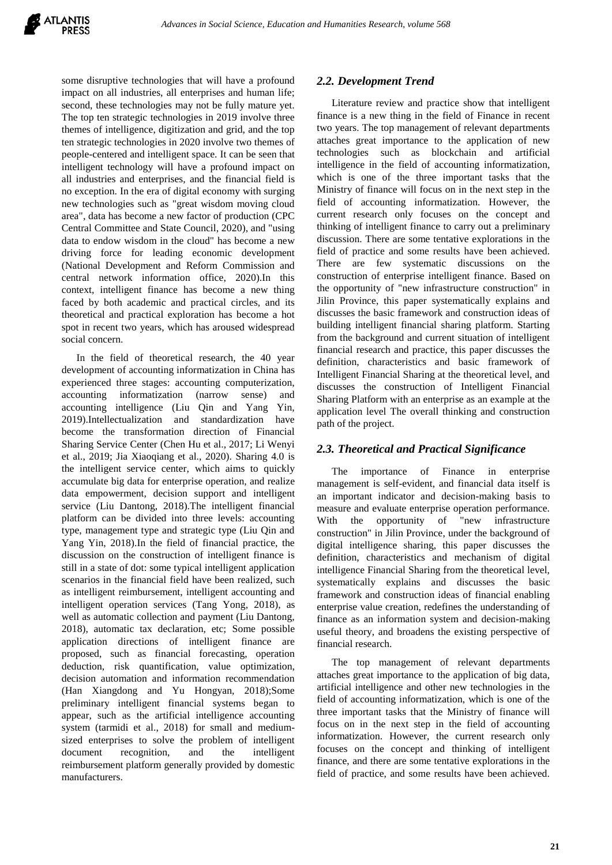some disruptive technologies that will have a profound impact on all industries, all enterprises and human life; second, these technologies may not be fully mature yet. The top ten strategic technologies in 2019 involve three themes of intelligence, digitization and grid, and the top ten strategic technologies in 2020 involve two themes of people-centered and intelligent space. It can be seen that intelligent technology will have a profound impact on all industries and enterprises, and the financial field is no exception. In the era of digital economy with surging new technologies such as "great wisdom moving cloud area", data has become a new factor of production (CPC Central Committee and State Council, 2020), and "using data to endow wisdom in the cloud" has become a new driving force for leading economic development (National Development and Reform Commission and central network information office, 2020).In this context, intelligent finance has become a new thing faced by both academic and practical circles, and its theoretical and practical exploration has become a hot spot in recent two years, which has aroused widespread social concern.

In the field of theoretical research, the 40 year development of accounting informatization in China has experienced three stages: accounting computerization, accounting informatization (narrow sense) and accounting intelligence (Liu Qin and Yang Yin, 2019).Intellectualization and standardization have become the transformation direction of Financial Sharing Service Center (Chen Hu et al., 2017; Li Wenyi et al., 2019; Jia Xiaoqiang et al., 2020). Sharing 4.0 is the intelligent service center, which aims to quickly accumulate big data for enterprise operation, and realize data empowerment, decision support and intelligent service (Liu Dantong, 2018).The intelligent financial platform can be divided into three levels: accounting type, management type and strategic type (Liu Qin and Yang Yin, 2018).In the field of financial practice, the discussion on the construction of intelligent finance is still in a state of dot: some typical intelligent application scenarios in the financial field have been realized, such as intelligent reimbursement, intelligent accounting and intelligent operation services (Tang Yong, 2018), as well as automatic collection and payment (Liu Dantong, 2018), automatic tax declaration, etc; Some possible application directions of intelligent finance are proposed, such as financial forecasting, operation deduction, risk quantification, value optimization, decision automation and information recommendation (Han Xiangdong and Yu Hongyan, 2018);Some preliminary intelligent financial systems began to appear, such as the artificial intelligence accounting system (tarmidi et al., 2018) for small and mediumsized enterprises to solve the problem of intelligent document recognition, and the intelligent reimbursement platform generally provided by domestic manufacturers.

## *2.2. Development Trend*

Literature review and practice show that intelligent finance is a new thing in the field of Finance in recent two years. The top management of relevant departments attaches great importance to the application of new technologies such as blockchain and artificial intelligence in the field of accounting informatization, which is one of the three important tasks that the Ministry of finance will focus on in the next step in the field of accounting informatization. However, the current research only focuses on the concept and thinking of intelligent finance to carry out a preliminary discussion. There are some tentative explorations in the field of practice and some results have been achieved. There are few systematic discussions on the construction of enterprise intelligent finance. Based on the opportunity of "new infrastructure construction" in Jilin Province, this paper systematically explains and discusses the basic framework and construction ideas of building intelligent financial sharing platform. Starting from the background and current situation of intelligent financial research and practice, this paper discusses the definition, characteristics and basic framework of Intelligent Financial Sharing at the theoretical level, and discusses the construction of Intelligent Financial Sharing Platform with an enterprise as an example at the application level The overall thinking and construction path of the project.

### *2.3. Theoretical and Practical Significance*

The importance of Finance in enterprise management is self-evident, and financial data itself is an important indicator and decision-making basis to measure and evaluate enterprise operation performance. With the opportunity of "new infrastructure construction" in Jilin Province, under the background of digital intelligence sharing, this paper discusses the definition, characteristics and mechanism of digital intelligence Financial Sharing from the theoretical level, systematically explains and discusses the basic framework and construction ideas of financial enabling enterprise value creation, redefines the understanding of finance as an information system and decision-making useful theory, and broadens the existing perspective of financial research.

The top management of relevant departments attaches great importance to the application of big data, artificial intelligence and other new technologies in the field of accounting informatization, which is one of the three important tasks that the Ministry of finance will focus on in the next step in the field of accounting informatization. However, the current research only focuses on the concept and thinking of intelligent finance, and there are some tentative explorations in the field of practice, and some results have been achieved.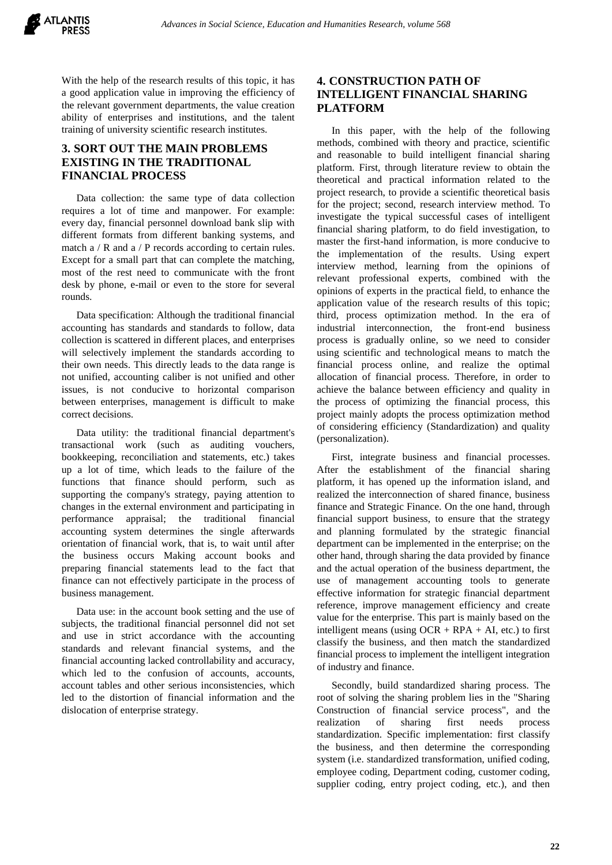With the help of the research results of this topic, it has a good application value in improving the efficiency of the relevant government departments, the value creation ability of enterprises and institutions, and the talent training of university scientific research institutes.

## **3. SORT OUT THE MAIN PROBLEMS EXISTING IN THE TRADITIONAL FINANCIAL PROCESS**

Data collection: the same type of data collection requires a lot of time and manpower. For example: every day, financial personnel download bank slip with different formats from different banking systems, and match a / R and a / P records according to certain rules. Except for a small part that can complete the matching, most of the rest need to communicate with the front desk by phone, e-mail or even to the store for several rounds.

Data specification: Although the traditional financial accounting has standards and standards to follow, data collection is scattered in different places, and enterprises will selectively implement the standards according to their own needs. This directly leads to the data range is not unified, accounting caliber is not unified and other issues, is not conducive to horizontal comparison between enterprises, management is difficult to make correct decisions.

Data utility: the traditional financial department's transactional work (such as auditing vouchers, bookkeeping, reconciliation and statements, etc.) takes up a lot of time, which leads to the failure of the functions that finance should perform, such as supporting the company's strategy, paying attention to changes in the external environment and participating in performance appraisal; the traditional financial accounting system determines the single afterwards orientation of financial work, that is, to wait until after the business occurs Making account books and preparing financial statements lead to the fact that finance can not effectively participate in the process of business management.

Data use: in the account book setting and the use of subjects, the traditional financial personnel did not set and use in strict accordance with the accounting standards and relevant financial systems, and the financial accounting lacked controllability and accuracy, which led to the confusion of accounts, accounts, account tables and other serious inconsistencies, which led to the distortion of financial information and the dislocation of enterprise strategy.

# **4. CONSTRUCTION PATH OF INTELLIGENT FINANCIAL SHARING PLATFORM**

In this paper, with the help of the following methods, combined with theory and practice, scientific and reasonable to build intelligent financial sharing platform. First, through literature review to obtain the theoretical and practical information related to the project research, to provide a scientific theoretical basis for the project; second, research interview method. To investigate the typical successful cases of intelligent financial sharing platform, to do field investigation, to master the first-hand information, is more conducive to the implementation of the results. Using expert interview method, learning from the opinions of relevant professional experts, combined with the opinions of experts in the practical field, to enhance the application value of the research results of this topic; third, process optimization method. In the era of industrial interconnection, the front-end business process is gradually online, so we need to consider using scientific and technological means to match the financial process online, and realize the optimal allocation of financial process. Therefore, in order to achieve the balance between efficiency and quality in the process of optimizing the financial process, this project mainly adopts the process optimization method of considering efficiency (Standardization) and quality (personalization).

First, integrate business and financial processes. After the establishment of the financial sharing platform, it has opened up the information island, and realized the interconnection of shared finance, business finance and Strategic Finance. On the one hand, through financial support business, to ensure that the strategy and planning formulated by the strategic financial department can be implemented in the enterprise; on the other hand, through sharing the data provided by finance and the actual operation of the business department, the use of management accounting tools to generate effective information for strategic financial department reference, improve management efficiency and create value for the enterprise. This part is mainly based on the intelligent means (using  $OCR + RPA + AI$ , etc.) to first classify the business, and then match the standardized financial process to implement the intelligent integration of industry and finance.

Secondly, build standardized sharing process. The root of solving the sharing problem lies in the "Sharing Construction of financial service process", and the realization of sharing first needs process standardization. Specific implementation: first classify the business, and then determine the corresponding system (i.e. standardized transformation, unified coding, employee coding, Department coding, customer coding, supplier coding, entry project coding, etc.), and then